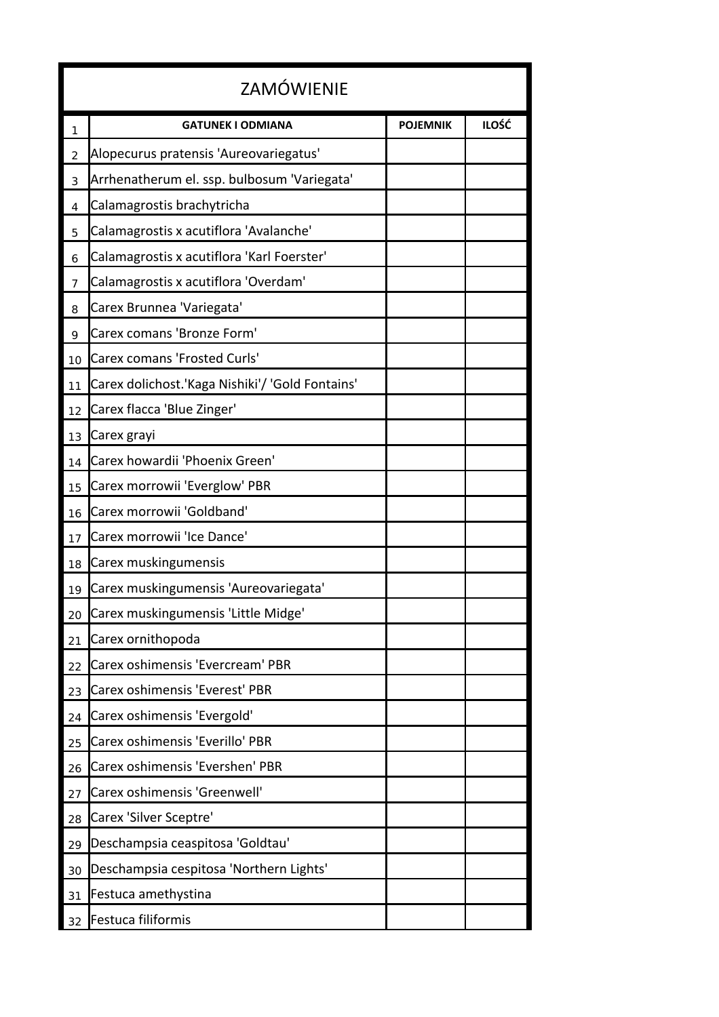| <b>ZAMÓWIENIE</b> |                                                 |                 |              |  |  |
|-------------------|-------------------------------------------------|-----------------|--------------|--|--|
| 1                 | <b>GATUNEK I ODMIANA</b>                        | <b>POJEMNIK</b> | <b>ILOŚĆ</b> |  |  |
| 2                 | Alopecurus pratensis 'Aureovariegatus'          |                 |              |  |  |
| 3                 | Arrhenatherum el. ssp. bulbosum 'Variegata'     |                 |              |  |  |
| 4                 | Calamagrostis brachytricha                      |                 |              |  |  |
| 5                 | Calamagrostis x acutiflora 'Avalanche'          |                 |              |  |  |
| 6                 | Calamagrostis x acutiflora 'Karl Foerster'      |                 |              |  |  |
| 7                 | Calamagrostis x acutiflora 'Overdam'            |                 |              |  |  |
| 8                 | Carex Brunnea 'Variegata'                       |                 |              |  |  |
| 9                 | Carex comans 'Bronze Form'                      |                 |              |  |  |
| 10                | <b>Carex comans 'Frosted Curls'</b>             |                 |              |  |  |
| 11                | Carex dolichost.'Kaga Nishiki'/ 'Gold Fontains' |                 |              |  |  |
| 12                | Carex flacca 'Blue Zinger'                      |                 |              |  |  |
| 13                | Carex grayi                                     |                 |              |  |  |
| 14                | Carex howardii 'Phoenix Green'                  |                 |              |  |  |
| 15                | Carex morrowii 'Everglow' PBR                   |                 |              |  |  |
| 16                | Carex morrowii 'Goldband'                       |                 |              |  |  |
| 17                | Carex morrowii 'Ice Dance'                      |                 |              |  |  |
| 18                | Carex muskingumensis                            |                 |              |  |  |
| 19                | Carex muskingumensis 'Aureovariegata'           |                 |              |  |  |
| 20                | Carex muskingumensis 'Little Midge'             |                 |              |  |  |
| 21                | Carex ornithopoda                               |                 |              |  |  |
| 22                | Carex oshimensis 'Evercream' PBR                |                 |              |  |  |
| 23                | Carex oshimensis 'Everest' PBR                  |                 |              |  |  |
| 24                | Carex oshimensis 'Evergold'                     |                 |              |  |  |
| 25                | Carex oshimensis 'Everillo' PBR                 |                 |              |  |  |
| 26                | Carex oshimensis 'Evershen' PBR                 |                 |              |  |  |
| 27                | Carex oshimensis 'Greenwell'                    |                 |              |  |  |
| 28                | Carex 'Silver Sceptre'                          |                 |              |  |  |
| 29                | Deschampsia ceaspitosa 'Goldtau'                |                 |              |  |  |
| 30                | Deschampsia cespitosa 'Northern Lights'         |                 |              |  |  |
| 31                | Festuca amethystina                             |                 |              |  |  |
| 32                | Festuca filiformis                              |                 |              |  |  |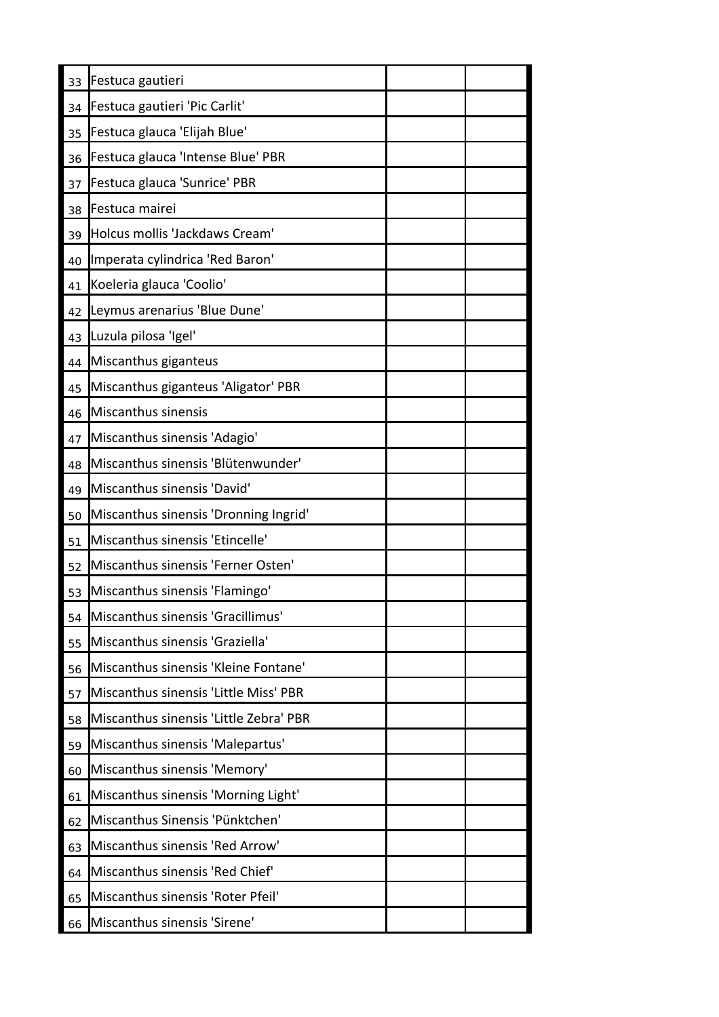| 33 | Festuca gautieri                       |  |
|----|----------------------------------------|--|
| 34 | Festuca gautieri 'Pic Carlit'          |  |
| 35 | Festuca glauca 'Elijah Blue'           |  |
| 36 | Festuca glauca 'Intense Blue' PBR      |  |
| 37 | Festuca glauca 'Sunrice' PBR           |  |
| 38 | Festuca mairei                         |  |
| 39 | Holcus mollis 'Jackdaws Cream'         |  |
| 40 | Imperata cylindrica 'Red Baron'        |  |
| 41 | Koeleria glauca 'Coolio'               |  |
| 42 | Leymus arenarius 'Blue Dune'           |  |
| 43 | Luzula pilosa 'Igel'                   |  |
| 44 | Miscanthus giganteus                   |  |
| 45 | Miscanthus giganteus 'Aligator' PBR    |  |
| 46 | Miscanthus sinensis                    |  |
| 47 | Miscanthus sinensis 'Adagio'           |  |
| 48 | Miscanthus sinensis 'Blütenwunder'     |  |
| 49 | Miscanthus sinensis 'David'            |  |
| 50 | Miscanthus sinensis 'Dronning Ingrid'  |  |
| 51 | Miscanthus sinensis 'Etincelle'        |  |
| 52 | Miscanthus sinensis 'Ferner Osten'     |  |
| 53 | Miscanthus sinensis 'Flamingo'         |  |
| 54 | Miscanthus sinensis 'Gracillimus'      |  |
| 55 | Miscanthus sinensis 'Graziella'        |  |
| 56 | Miscanthus sinensis 'Kleine Fontane'   |  |
| 57 | Miscanthus sinensis 'Little Miss' PBR  |  |
| 58 | Miscanthus sinensis 'Little Zebra' PBR |  |
| 59 | Miscanthus sinensis 'Malepartus'       |  |
| 60 | Miscanthus sinensis 'Memory'           |  |
| 61 | Miscanthus sinensis 'Morning Light'    |  |
| 62 | Miscanthus Sinensis 'Pünktchen'        |  |
| 63 | Miscanthus sinensis 'Red Arrow'        |  |
| 64 | Miscanthus sinensis 'Red Chief'        |  |
| 65 | Miscanthus sinensis 'Roter Pfeil'      |  |
| 66 | Miscanthus sinensis 'Sirene'           |  |